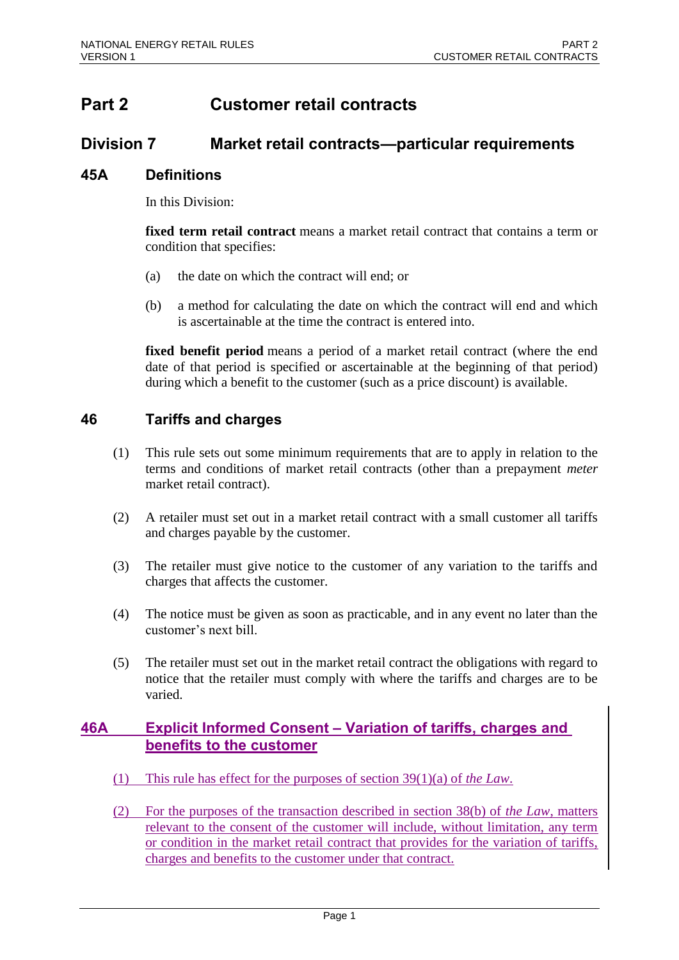# **Part 2 Customer retail contracts**

## **Division 7 Market retail contracts—particular requirements**

#### **45A Definitions**

In this Division:

**fixed term retail contract** means a market retail contract that contains a term or condition that specifies:

- (a) the date on which the contract will end; or
- (b) a method for calculating the date on which the contract will end and which is ascertainable at the time the contract is entered into.

**fixed benefit period** means a period of a market retail contract (where the end date of that period is specified or ascertainable at the beginning of that period) during which a benefit to the customer (such as a price discount) is available.

### **46 Tariffs and charges**

- (1) This rule sets out some minimum requirements that are to apply in relation to the terms and conditions of market retail contracts (other than a prepayment *meter* market retail contract).
- (2) A retailer must set out in a market retail contract with a small customer all tariffs and charges payable by the customer.
- (3) The retailer must give notice to the customer of any variation to the tariffs and charges that affects the customer.
- (4) The notice must be given as soon as practicable, and in any event no later than the customer's next bill.
- (5) The retailer must set out in the market retail contract the obligations with regard to notice that the retailer must comply with where the tariffs and charges are to be varied.

### **46A Explicit Informed Consent – Variation of tariffs, charges and benefits to the customer**

- (1) This rule has effect for the purposes of section 39(1)(a) of *the Law*.
- (2) For the purposes of the transaction described in section 38(b) of *the Law*, matters relevant to the consent of the customer will include, without limitation, any term or condition in the market retail contract that provides for the variation of tariffs, charges and benefits to the customer under that contract.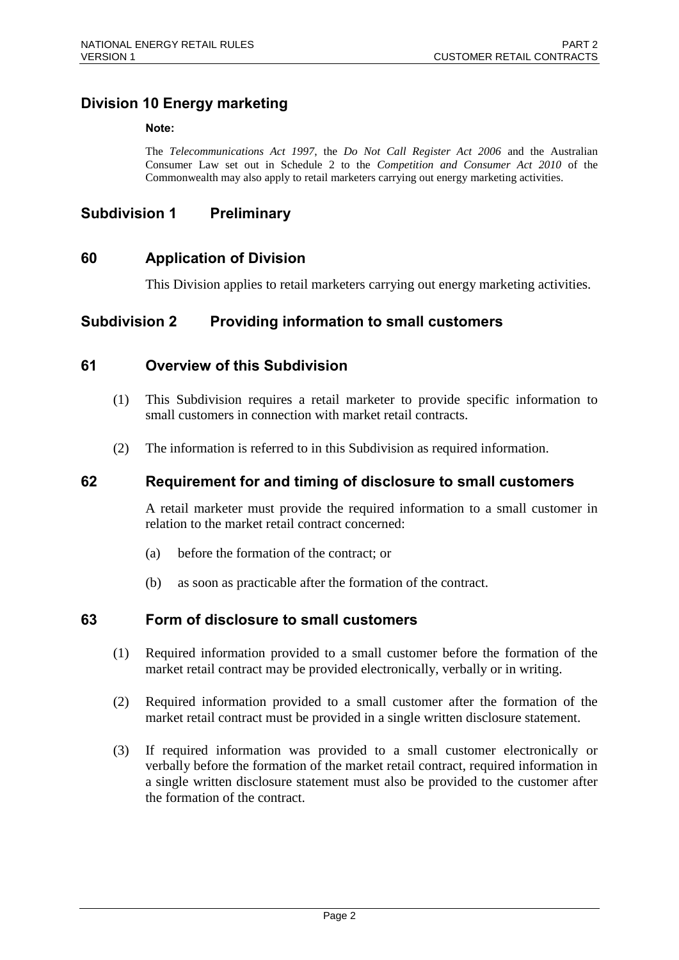## **Division 10 Energy marketing**

#### **Note:**

The *Telecommunications Act 1997*, the *Do Not Call Register Act 2006* and the Australian Consumer Law set out in Schedule 2 to the *Competition and Consumer Act 2010* of the Commonwealth may also apply to retail marketers carrying out energy marketing activities.

#### **Subdivision 1 Preliminary**

#### **60 Application of Division**

This Division applies to retail marketers carrying out energy marketing activities.

#### **Subdivision 2 Providing information to small customers**

#### **61 Overview of this Subdivision**

- (1) This Subdivision requires a retail marketer to provide specific information to small customers in connection with market retail contracts.
- (2) The information is referred to in this Subdivision as required information.

#### **62 Requirement for and timing of disclosure to small customers**

A retail marketer must provide the required information to a small customer in relation to the market retail contract concerned:

- (a) before the formation of the contract; or
- (b) as soon as practicable after the formation of the contract.

#### **63 Form of disclosure to small customers**

- (1) Required information provided to a small customer before the formation of the market retail contract may be provided electronically, verbally or in writing.
- (2) Required information provided to a small customer after the formation of the market retail contract must be provided in a single written disclosure statement.
- (3) If required information was provided to a small customer electronically or verbally before the formation of the market retail contract, required information in a single written disclosure statement must also be provided to the customer after the formation of the contract.